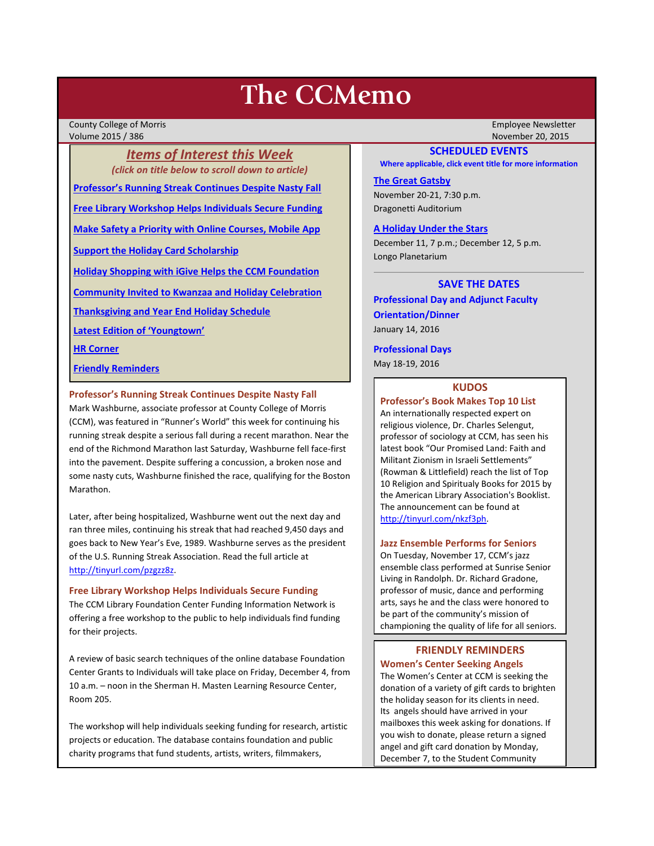# **The CCMemo**

County College of Morris Employee Newsletter Volume 2015 / 386 November 20, 2015

*Items of Interest this Week (click on title below to scroll down to article)* **[Professor's Running Streak Continues Despite Nasty Fall](#page-0-0) [Free Library Workshop Helps Individuals Secure Funding](#page-0-1) [Make Safety a Priority with Online Courses, Mobile App](#page-1-0) [Support the Holiday Card Scholarship](#page-2-0) [Holiday Shopping with iGive Helps the CCM Foundation](#page-2-1) [Community Invited to Kwanzaa and Holiday Celebration](#page-2-2)**

**[Thanksgiving and Year End Holiday Schedule](#page-2-3)**

**[Latest Edition of 'Youngtown'](#page-3-0)**

**[HR Corner](#page-2-4)**

**[Friendly Reminders](#page-0-2)**

## <span id="page-0-0"></span>**Professor's Running Streak Continues Despite Nasty Fall**

Mark Washburne, associate professor at County College of Morris (CCM), was featured in "Runner's World" this week for continuing his running streak despite a serious fall during a recent marathon. Near the end of the Richmond Marathon last Saturday, Washburne fell face-first into the pavement. Despite suffering a concussion, a broken nose and some nasty cuts, Washburne finished the race, qualifying for the Boston Marathon.

Later, after being hospitalized, Washburne went out the next day and ran three miles, continuing his streak that had reached 9,450 days and goes back to New Year's Eve, 1989. Washburne serves as the president of the U.S. Running Streak Association. Read the full article at [http://tinyurl.com/pzgzz8z.](http://tinyurl.com/pzgzz8z)

#### <span id="page-0-1"></span>**Free Library Workshop Helps Individuals Secure Funding**

The CCM Library Foundation Center Funding Information Network is offering a free workshop to the public to help individuals find funding for their projects.

A review of basic search techniques of the online database Foundation Center Grants to Individuals will take place on Friday, December 4, from 10 a.m. – noon in the Sherman H. Masten Learning Resource Center, Room 205.

The workshop will help individuals seeking funding for research, artistic projects or education. The database contains foundation and public charity programs that fund students, artists, writers, filmmakers,

#### **SCHEDULED EVENTS**

**Where applicable, click event title for more information**

## **[The Great Gatsby](http://www.ccm.edu/newsEvents/eventDetails.aspx?Channel=/Channels/Sitewide&WorkflowItemID=9615210a-1b71-4e69-ad3d-ab620fd6a433)**

November 20-21, 7:30 p.m. Dragonetti Auditorium

# **[A Holiday Under the Stars](http://www.ccm.edu/newsEvents/eventDetails.aspx?Channel=/Channels/Sitewide&WorkflowItemID=33f45ee9-5e7c-4835-b2d6-c900facd707d)**

December 11, 7 p.m.; December 12, 5 p.m. Longo Planetarium

# **SAVE THE DATES**

**Professional Day and Adjunct Faculty Orientation/Dinner**

January 14, 2016

#### **Professional Days**

May 18-19, 2016

# **KUDOS**

# **Professor's Book Makes Top 10 List**

An internationally respected expert on religious violence, Dr. Charles Selengut, professor of sociology at CCM, has seen his latest book "Our Promised Land: Faith and Militant Zionism in Israeli Settlements" (Rowman & Littlefield) reach the list of Top 10 Religion and Spiritualy Books for 2015 by the American Library Association's Booklist. The announcement can be found at [http://tinyurl.com/nkzf3ph.](http://tinyurl.com/nkzf3ph)

#### **Jazz Ensemble Performs for Seniors**

On Tuesday, November 17, CCM's jazz ensemble class performed at Sunrise Senior Living in Randolph. Dr. Richard Gradone, professor of music, dance and performing arts, says he and the class were honored to be part of the community's mission of championing the quality of life for all seniors.

# <span id="page-0-2"></span>**FRIENDLY REMINDERS Women's Center Seeking Angels**

The Women's Center at CCM is seeking the donation of a variety of gift cards to brighten the holiday season for its clients in need. Its angels should have arrived in your mailboxes this week asking for donations. If you wish to donate, please return a signed angel and gift card donation by Monday, December 7, to the Student Community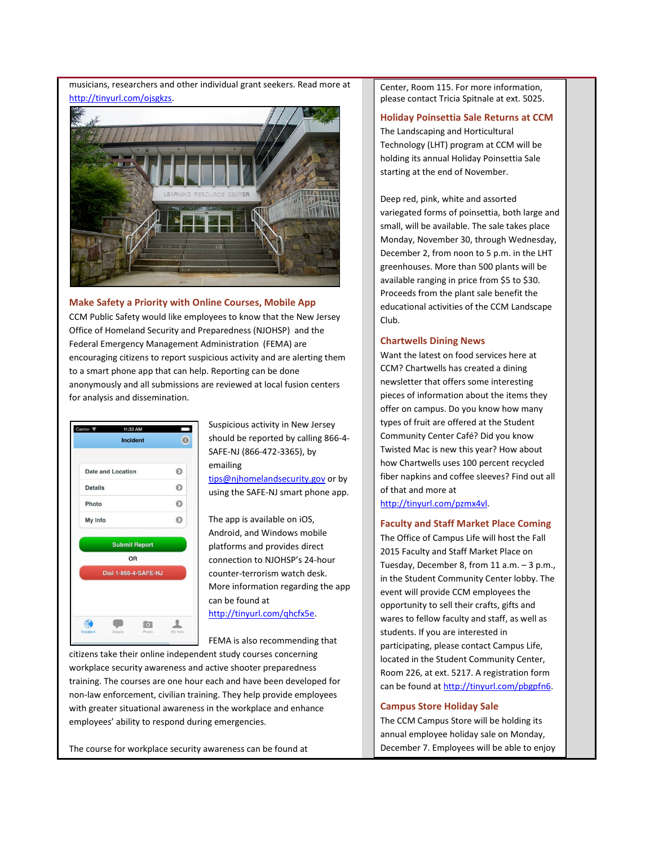musicians, researchers and other individual grant seekers. Read more at [http://tinyurl.com/ojsgkzs.](http://tinyurl.com/ojsgkzs)



# <span id="page-1-0"></span>**Make Safety a Priority with Online Courses, Mobile App**

CCM Public Safety would like employees to know that the New Jersey Office of Homeland Security and Preparedness (NJOHSP) and the Federal Emergency Management Administration (FEMA) are encouraging citizens to report suspicious activity and are alerting them to a smart phone app that can help. Reporting can be done anonymously and all submissions are reviewed at local fusion centers for analysis and dissemination.



Suspicious activity in New Jersey should be reported by calling 866-4- SAFE-NJ (866-472-3365), by emailing

[tips@njhomelandsecurity.gov](mailto:tips@njhomelandsecurity.gov) or by using the SAFE-NJ smart phone app.

The app is available on iOS, Android, and Windows mobile platforms and provides direct connection to NJOHSP's 24-hour counter-terrorism watch desk. More information regarding the app can be found at [http://tinyurl.com/qhcfx5e.](http://tinyurl.com/qhcfx5e)

FEMA is also recommending that

citizens take their online independent study courses concerning workplace security awareness and active shooter preparedness training. The courses are one hour each and have been developed for non-law enforcement, civilian training. They help provide employees with greater situational awareness in the workplace and enhance employees' ability to respond during emergencies.

The course for workplace security awareness can be found at

Center, Room 115. For more information, please contact Tricia Spitnale at ext. 5025.

#### **Holiday Poinsettia Sale Returns at CCM**

The Landscaping and Horticultural Technology (LHT) program at CCM will be holding its annual Holiday Poinsettia Sale starting at the end of November.

Deep red, pink, white and assorted variegated forms of poinsettia, both large and small, will be available. The sale takes place Monday, November 30, through Wednesday, December 2, from noon to 5 p.m. in the LHT greenhouses. More than 500 plants will be available ranging in price from \$5 to \$30. Proceeds from the plant sale benefit the educational activities of the CCM Landscape Club.

## **Chartwells Dining News**

Want the latest on food services here at CCM? Chartwells has created a dining newsletter that offers some interesting pieces of information about the items they offer on campus. Do you know how many types of fruit are offered at the Student Community Center Café? Did you know Twisted Mac is new this year? How about how Chartwells uses 100 percent recycled fiber napkins and coffee sleeves? Find out all of that and more at

[http://tinyurl.com/pzmx4vl.](http://tinyurl.com/pzmx4vl)

# **Faculty and Staff Market Place Coming**

The Office of Campus Life will host the Fall 2015 Faculty and Staff Market Place on Tuesday, December 8, from 11 a.m. – 3 p.m., in the Student Community Center lobby. The event will provide CCM employees the opportunity to sell their crafts, gifts and wares to fellow faculty and staff, as well as students. If you are interested in participating, please contact Campus Life, located in the Student Community Center, Room 226, at ext. 5217. A registration form can be found a[t http://tinyurl.com/pbgpfn6.](http://tinyurl.com/pbgpfn6)

## **Campus Store Holiday Sale**

The CCM Campus Store will be holding its annual employee holiday sale on Monday, December 7. Employees will be able to enjoy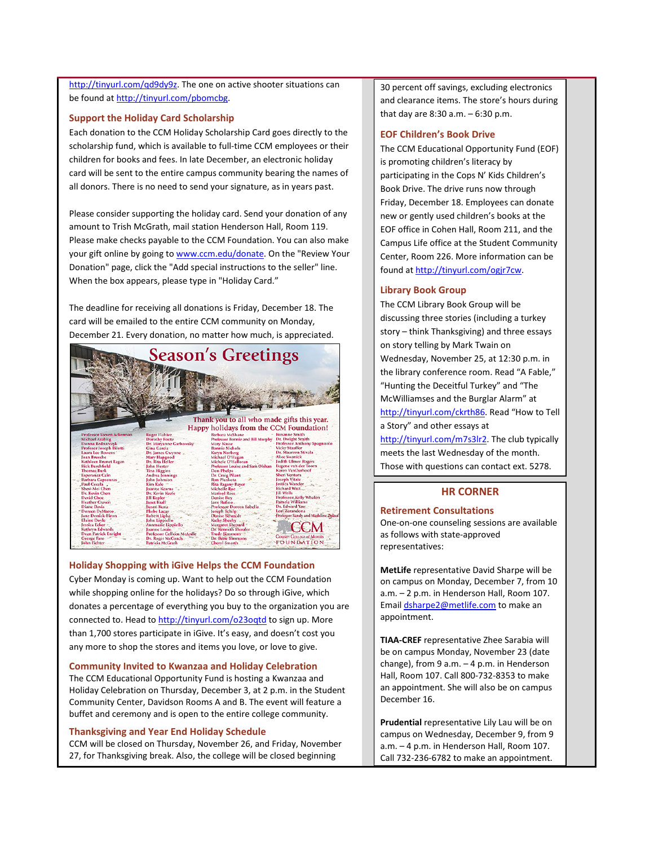http://tinyurl.com/gd9dy9z. The one on active shooter situations can be found at [http://tinyurl.com/pbomcbg.](http://tinyurl.com/pbomcbg)

## <span id="page-2-0"></span>**Support the Holiday Card Scholarship**

Each donation to the CCM Holiday Scholarship Card goes directly to the scholarship fund, which is available to full-time CCM employees or their children for books and fees. In late December, an electronic holiday card will be sent to the entire campus community bearing the names of all donors. There is no need to send your signature, as in years past.

Please consider supporting the holiday card. Send your donation of any amount to Trish McGrath, mail station Henderson Hall, Room 119. Please make checks payable to the CCM Foundation. You can also make your gift online by going t[o www.ccm.edu/donate.](http://www.ccm.edu/donate) On the "Review Your Donation" page, click the "Add special instructions to the seller" line. When the box appears, please type in "Holiday Card."

The deadline for receiving all donations is Friday, December 18. The card will be emailed to the entire CCM community on Monday, December 21. Every donation, no matter how much, is appreciated.



#### <span id="page-2-1"></span>**Holiday Shopping with iGive Helps the CCM Foundation**

Cyber Monday is coming up. Want to help out the CCM Foundation while shopping online for the holidays? Do so through iGive, which donates a percentage of everything you buy to the organization you are connected to. Head t[o http://tinyurl.com/o23oqtd](http://tinyurl.com/o23oqtd) to sign up. More than 1,700 stores participate in iGive. It's easy, and doesn't cost you any more to shop the stores and items you love, or love to give.

#### <span id="page-2-2"></span>**Community Invited to Kwanzaa and Holiday Celebration**

The CCM Educational Opportunity Fund is hosting a Kwanzaa and Holiday Celebration on Thursday, December 3, at 2 p.m. in the Student Community Center, Davidson Rooms A and B. The event will feature a buffet and ceremony and is open to the entire college community.

#### <span id="page-2-3"></span>**Thanksgiving and Year End Holiday Schedule**

CCM will be closed on Thursday, November 26, and Friday, November 27, for Thanksgiving break. Also, the college will be closed beginning

30 percent off savings, excluding electronics and clearance items. The store's hours during that day are 8:30 a.m. – 6:30 p.m.

#### **EOF Children's Book Drive**

The CCM Educational Opportunity Fund (EOF) is promoting children's literacy by participating in the Cops N' Kids Children's Book Drive. The drive runs now through Friday, December 18. Employees can donate new or gently used children's books at the EOF office in Cohen Hall, Room 211, and the Campus Life office at the Student Community Center, Room 226. More information can be found a[t http://tinyurl.com/ogjr7cw.](http://tinyurl.com/ogjr7cw)

#### **Library Book Group**

The CCM Library Book Group will be discussing three stories (including a turkey story – think Thanksgiving) and three essays on story telling by Mark Twain on Wednesday, November 25, at 12:30 p.m. in the library conference room. Read "A Fable," "Hunting the Deceitful Turkey" and "The McWilliamses and the Burglar Alarm" at [http://tinyurl.com/ckrth86.](http://tinyurl.com/ckrth86) Read "How to Tell a Story" and other essays at [http://tinyurl.com/m7s3lr2.](http://tinyurl.com/m7s3lr2) The club typically meets the last Wednesday of the month. Those with questions can contact ext. 5278.

#### **HR CORNER**

#### <span id="page-2-4"></span>**Retirement Consultations**

One-on-one counseling sessions are available as follows with state-approved representatives:

**MetLife** representative David Sharpe will be on campus on Monday, December 7, from 10 a.m. – 2 p.m. in Henderson Hall, Room 107. Emai[l dsharpe2@metlife.com](mailto:dsharpe2@metlife.com) to make an appointment.

**TIAA-CREF** representative Zhee Sarabia will be on campus Monday, November 23 (date change), from 9 a.m. – 4 p.m. in Henderson Hall, Room 107. Call 800-732-8353 to make an appointment. She will also be on campus December 16.

**Prudential** representative Lily Lau will be on campus on Wednesday, December 9, from 9 a.m. – 4 p.m. in Henderson Hall, Room 107. Call 732-236-6782 to make an appointment.